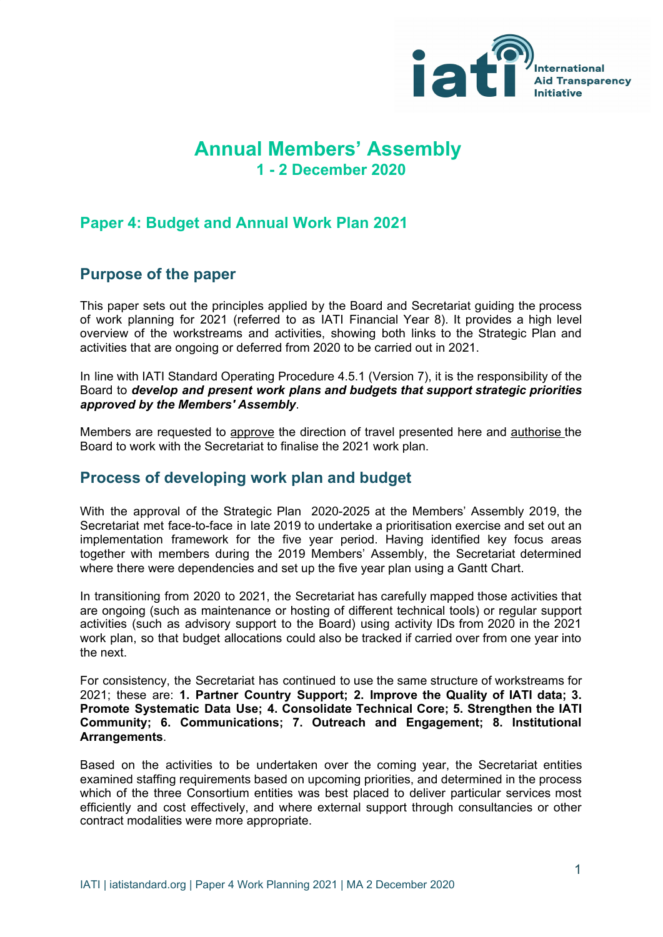

# **Annual Members' Assembly 1 - 2 December 2020**

## **Paper 4: Budget and Annual Work Plan 2021**

### **Purpose of the paper**

This paper sets out the principles applied by the Board and Secretariat guiding the process of work planning for 2021 (referred to as IATI Financial Year 8). It provides a high level overview of the workstreams and activities, showing both links to the Strategic Plan and activities that are ongoing or deferred from 2020 to be carried out in 2021.

In line with IATI Standard Operating Procedure 4.5.1 (Version 7), it is the responsibility of the Board to *develop and present work plans and budgets that support strategic priorities approved by the Members' Assembly*.

Members are requested to approve the direction of travel presented here and authorise the Board to work with the Secretariat to finalise the 2021 work plan.

### **Process of developing work plan and budget**

With the approval of the Strategic Plan 2020-2025 at the Members' Assembly 2019, the Secretariat met face-to-face in late 2019 to undertake a prioritisation exercise and set out an implementation framework for the five year period. Having identified key focus areas together with members during the 2019 Members' Assembly, the Secretariat determined where there were dependencies and set up the five year plan using a Gantt Chart.

In transitioning from 2020 to 2021, the Secretariat has carefully mapped those activities that are ongoing (such as maintenance or hosting of different technical tools) or regular support activities (such as advisory support to the Board) using activity IDs from 2020 in the 2021 work plan, so that budget allocations could also be tracked if carried over from one year into the next.

For consistency, the Secretariat has continued to use the same structure of workstreams for 2021; these are: **1. Partner Country Support; 2. Improve the Quality of IATI data; 3. Promote Systematic Data Use; 4. Consolidate Technical Core; 5. Strengthen the IATI Community; 6. Communications; 7. Outreach and Engagement; 8. Institutional Arrangements**.

Based on the activities to be undertaken over the coming year, the Secretariat entities examined staffing requirements based on upcoming priorities, and determined in the process which of the three Consortium entities was best placed to deliver particular services most efficiently and cost effectively, and where external support through consultancies or other contract modalities were more appropriate.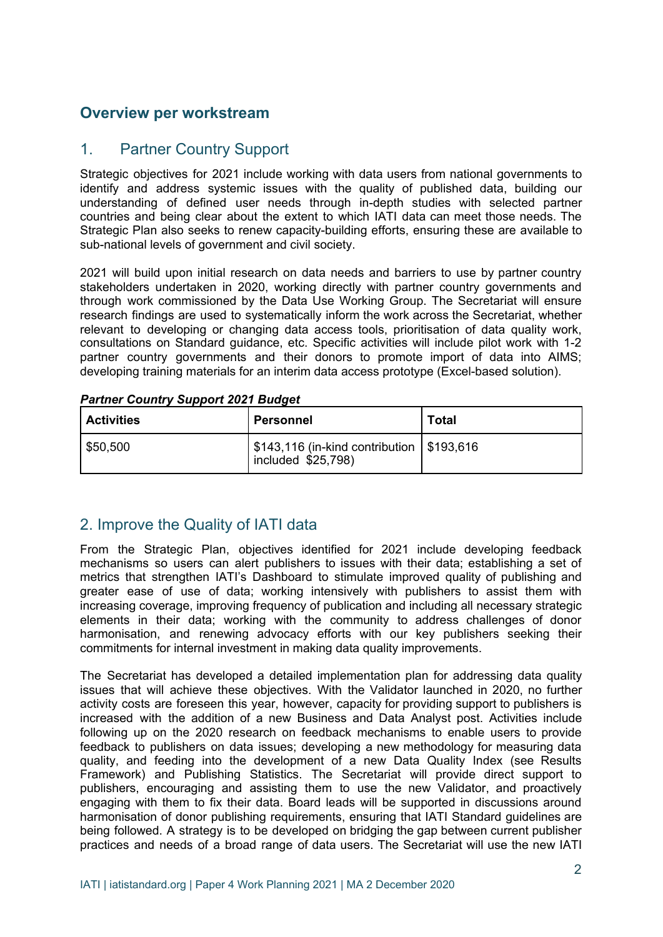## **Overview per workstream**

#### 1. Partner Country Support

Strategic objectives for 2021 include working with data users from national governments to identify and address systemic issues with the quality of published data, building our understanding of defined user needs through in-depth studies with selected partner countries and being clear about the extent to which IATI data can meet those needs. The Strategic Plan also seeks to renew capacity-building efforts, ensuring these are available to sub-national levels of government and civil society.

2021 will build upon initial research on data needs and barriers to use by partner country stakeholders undertaken in 2020, working directly with partner country governments and through work commissioned by the Data Use Working Group. The Secretariat will ensure research findings are used to systematically inform the work across the Secretariat, whether relevant to developing or changing data access tools, prioritisation of data quality work, consultations on Standard guidance, etc. Specific activities will include pilot work with 1-2 partner country governments and their donors to promote import of data into AIMS; developing training materials for an interim data access prototype (Excel-based solution).

| <b>Partner Country Support 2021 Budget</b> |  |  |
|--------------------------------------------|--|--|
|                                            |  |  |

| <b>Activities</b> | Personnel                                                           | Total |
|-------------------|---------------------------------------------------------------------|-------|
| \$50,500          | ' \$143,116 (in-kind contribution   \$193,616<br>included \$25,798) |       |

# 2. Improve the Quality of IATI data

From the Strategic Plan, objectives identified for 2021 include developing feedback mechanisms so users can alert publishers to issues with their data; establishing a set of metrics that strengthen IATI's Dashboard to stimulate improved quality of publishing and greater ease of use of data; working intensively with publishers to assist them with increasing coverage, improving frequency of publication and including all necessary strategic elements in their data; working with the community to address challenges of donor harmonisation, and renewing advocacy efforts with our key publishers seeking their commitments for internal investment in making data quality improvements.

The Secretariat has developed a detailed implementation plan for addressing data quality issues that will achieve these objectives. With the Validator launched in 2020, no further activity costs are foreseen this year, however, capacity for providing support to publishers is increased with the addition of a new Business and Data Analyst post. Activities include following up on the 2020 research on feedback mechanisms to enable users to provide feedback to publishers on data issues; developing a new methodology for measuring data quality, and feeding into the development of a new Data Quality Index (see Results Framework) and Publishing Statistics. The Secretariat will provide direct support to publishers, encouraging and assisting them to use the new Validator, and proactively engaging with them to fix their data. Board leads will be supported in discussions around harmonisation of donor publishing requirements, ensuring that IATI Standard guidelines are being followed. A strategy is to be developed on bridging the gap between current publisher practices and needs of a broad range of data users. The Secretariat will use the new IATI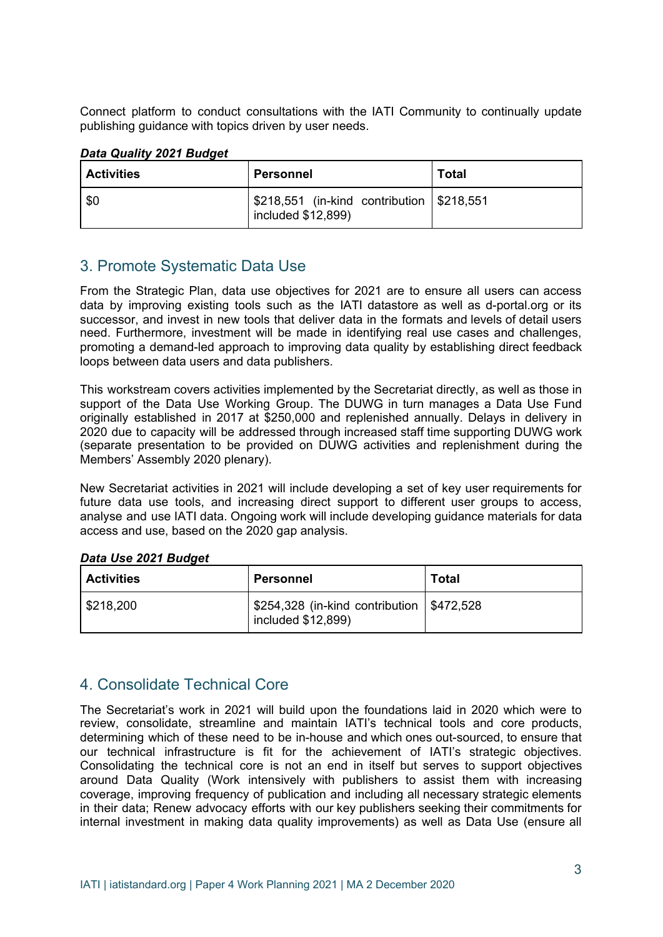Connect platform to conduct consultations with the IATI Community to continually update publishing guidance with topics driven by user needs.

#### *Data Quality 2021 Budget*

| <b>Activities</b> | Personnel                                                         | <b>Total</b> |
|-------------------|-------------------------------------------------------------------|--------------|
| \$0               | \$218,551 (in-kind contribution   \$218,551<br>included \$12,899) |              |

### 3. Promote Systematic Data Use

From the Strategic Plan, data use objectives for 2021 are to ensure all users can access data by improving existing tools such as the IATI datastore as well as d-portal.org or its successor, and invest in new tools that deliver data in the formats and levels of detail users need. Furthermore, investment will be made in identifying real use cases and challenges, promoting a demand-led approach to improving data quality by establishing direct feedback loops between data users and data publishers.

This workstream covers activities implemented by the Secretariat directly, as well as those in support of the Data Use Working Group. The DUWG in turn manages a Data Use Fund originally established in 2017 at \$250,000 and replenished annually. Delays in delivery in 2020 due to capacity will be addressed through increased staff time supporting DUWG work (separate presentation to be provided on DUWG activities and replenishment during the Members' Assembly 2020 plenary).

New Secretariat activities in 2021 will include developing a set of key user requirements for future data use tools, and increasing direct support to different user groups to access, analyse and use IATI data. Ongoing work will include developing guidance materials for data access and use, based on the 2020 gap analysis.

#### *Data Use 2021 Budget*

| <b>Activities</b>       | <b>Personnel</b>                                                      | <b>Total</b> |
|-------------------------|-----------------------------------------------------------------------|--------------|
| $\frac{1}{2}$ \$218,200 | ' \$254,328 (in-kind contribution   \$472,528<br>included $$12,899$ ) |              |

### 4. Consolidate Technical Core

The Secretariat's work in 2021 will build upon the foundations laid in 2020 which were to review, consolidate, streamline and maintain IATI's technical tools and core products, determining which of these need to be in-house and which ones out-sourced, to ensure that our technical infrastructure is fit for the achievement of IATI's strategic objectives. Consolidating the technical core is not an end in itself but serves to support objectives around Data Quality (Work intensively with publishers to assist them with increasing coverage, improving frequency of publication and including all necessary strategic elements in their data; Renew advocacy efforts with our key publishers seeking their commitments for internal investment in making data quality improvements) as well as Data Use (ensure all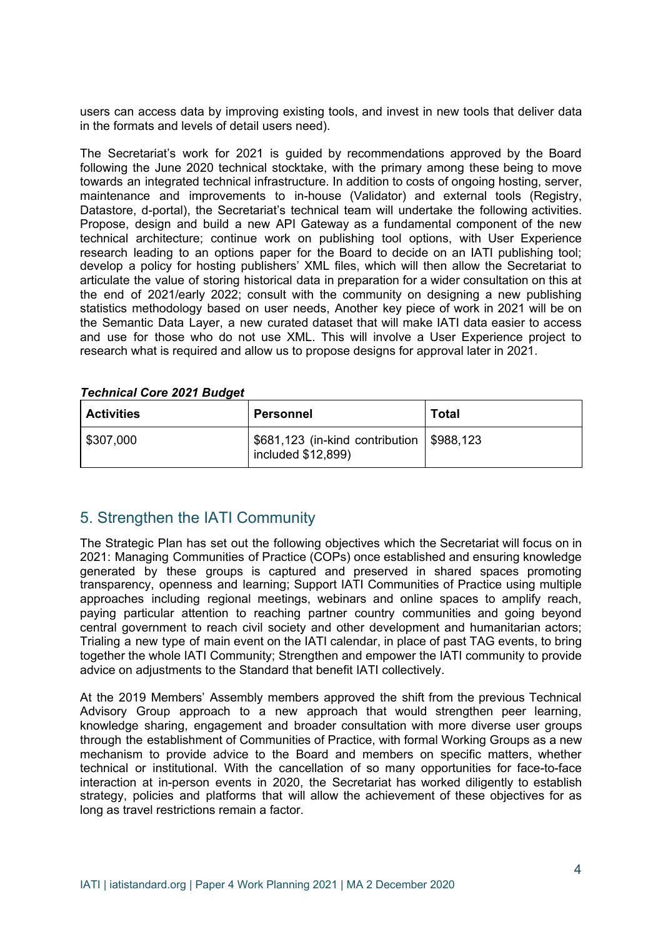users can access data by improving existing tools, and invest in new tools that deliver data in the formats and levels of detail users need).

The Secretariat's work for 2021 is guided by recommendations approved by the Board following the June 2020 technical stocktake, with the primary among these being to move towards an integrated technical infrastructure. In addition to costs of ongoing hosting, server, maintenance and improvements to in-house (Validator) and external tools (Registry, Datastore, d-portal), the Secretariat's technical team will undertake the following activities. Propose, design and build a new API Gateway as a fundamental component of the new technical architecture; continue work on publishing tool options, with User Experience research leading to an options paper for the Board to decide on an IATI publishing tool; develop a policy for hosting publishers' XML files, which will then allow the Secretariat to articulate the value of storing historical data in preparation for a wider consultation on this at the end of 2021/early 2022; consult with the community on designing a new publishing statistics methodology based on user needs, Another key piece of work in 2021 will be on the Semantic Data Layer, a new curated dataset that will make IATI data easier to access and use for those who do not use XML. This will involve a User Experience project to research what is required and allow us to propose designs for approval later in 2021.

#### *Technical Core 2021 Budget*

| <b>Activities</b> | <b>Personnel</b>                                                    | Total |
|-------------------|---------------------------------------------------------------------|-------|
| \$307,000         | ' \$681,123 (in-kind contribution   \$988,123<br>included \$12,899) |       |

### 5. Strengthen the IATI Community

The Strategic Plan has set out the following objectives which the Secretariat will focus on in 2021: Managing Communities of Practice (COPs) once established and ensuring knowledge generated by these groups is captured and preserved in shared spaces promoting transparency, openness and learning; Support IATI Communities of Practice using multiple approaches including regional meetings, webinars and online spaces to amplify reach, paying particular attention to reaching partner country communities and going beyond central government to reach civil society and other development and humanitarian actors; Trialing a new type of main event on the IATI calendar, in place of past TAG events, to bring together the whole IATI Community; Strengthen and empower the IATI community to provide advice on adjustments to the Standard that benefit IATI collectively.

At the 2019 Members' Assembly members approved the shift from the previous Technical Advisory Group approach to a new approach that would strengthen peer learning, knowledge sharing, engagement and broader consultation with more diverse user groups through the establishment of Communities of Practice, with formal Working Groups as a new mechanism to provide advice to the Board and members on specific matters, whether technical or institutional. With the cancellation of so many opportunities for face-to-face interaction at in-person events in 2020, the Secretariat has worked diligently to establish strategy, policies and platforms that will allow the achievement of these objectives for as long as travel restrictions remain a factor.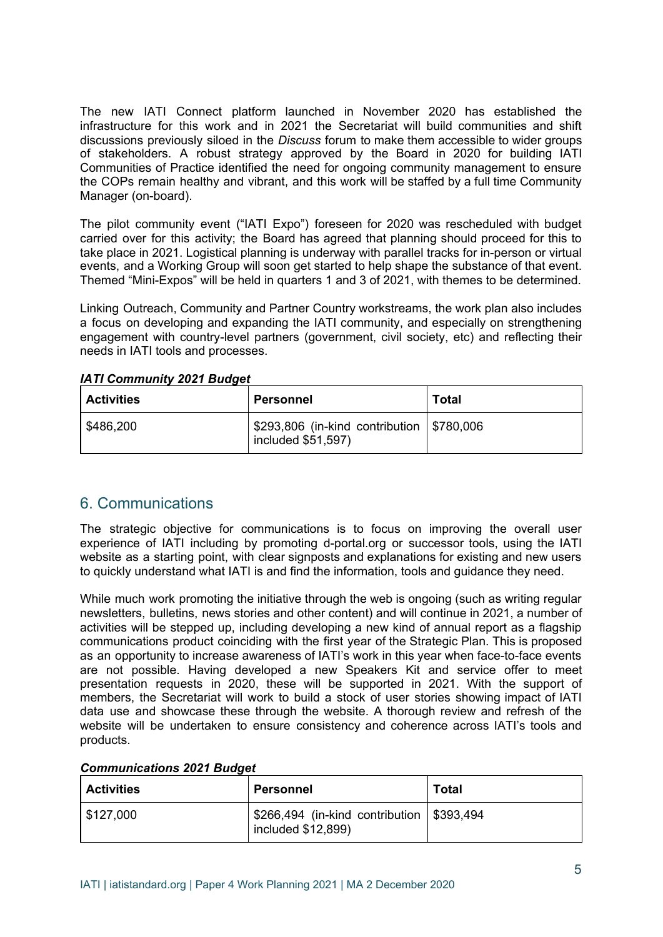The new IATI Connect platform launched in November 2020 has established the infrastructure for this work and in 2021 the Secretariat will build communities and shift discussions previously siloed in the *Discuss* forum to make them accessible to wider groups of stakeholders. A robust strategy approved by the Board in 2020 for building IATI Communities of Practice identified the need for ongoing community management to ensure the COPs remain healthy and vibrant, and this work will be staffed by a full time Community Manager (on-board).

The pilot community event ("IATI Expo") foreseen for 2020 was rescheduled with budget carried over for this activity; the Board has agreed that planning should proceed for this to take place in 2021. Logistical planning is underway with parallel tracks for in-person or virtual events, and a Working Group will soon get started to help shape the substance of that event. Themed "Mini-Expos" will be held in quarters 1 and 3 of 2021, with themes to be determined.

Linking Outreach, Community and Partner Country workstreams, the work plan also includes a focus on developing and expanding the IATI community, and especially on strengthening engagement with country-level partners (government, civil society, etc) and reflecting their needs in IATI tools and processes.

| <b>Activities</b> | <b>Personnel</b>                                                  | <b>Total</b> |
|-------------------|-------------------------------------------------------------------|--------------|
| \$486,200         | \$293,806 (in-kind contribution   \$780,006<br>included \$51,597) |              |

*IATI Community 2021 Budget*

### 6. Communications

The strategic objective for communications is to focus on improving the overall user experience of IATI including by promoting d-portal.org or successor tools, using the IATI website as a starting point, with clear signposts and explanations for existing and new users to quickly understand what IATI is and find the information, tools and guidance they need.

While much work promoting the initiative through the web is ongoing (such as writing regular newsletters, bulletins, news stories and other content) and will continue in 2021, a number of activities will be stepped up, including developing a new kind of annual report as a flagship communications product coinciding with the first year of the Strategic Plan. This is proposed as an opportunity to increase awareness of IATI's work in this year when face-to-face events are not possible. Having developed a new Speakers Kit and service offer to meet presentation requests in 2020, these will be supported in 2021. With the support of members, the Secretariat will work to build a stock of user stories showing impact of IATI data use and showcase these through the website. A thorough review and refresh of the website will be undertaken to ensure consistency and coherence across IATI's tools and products.

|  | <b>Communications 2021 Budget</b> |  |  |
|--|-----------------------------------|--|--|
|--|-----------------------------------|--|--|

| <b>Activities</b> | Personnel                                                         | <b>Total</b> |
|-------------------|-------------------------------------------------------------------|--------------|
| \$127,000         | \$266,494 (in-kind contribution   \$393,494<br>included \$12,899) |              |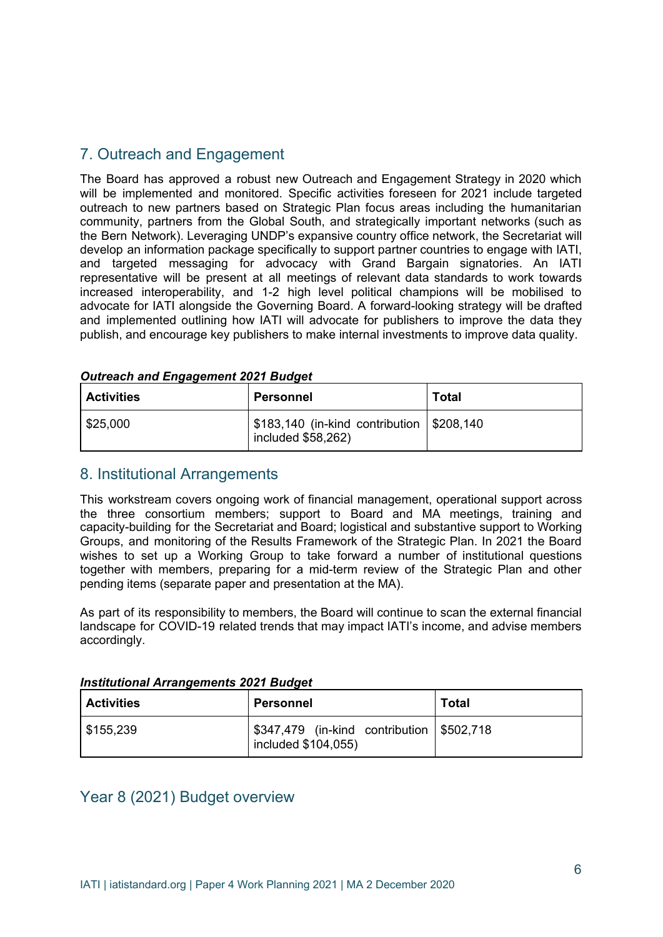# 7. Outreach and Engagement

The Board has approved a robust new Outreach and Engagement Strategy in 2020 which will be implemented and monitored. Specific activities foreseen for 2021 include targeted outreach to new partners based on Strategic Plan focus areas including the humanitarian community, partners from the Global South, and strategically important networks (such as the Bern Network). Leveraging UNDP's expansive country office network, the Secretariat will develop an information package specifically to support partner countries to engage with IATI, and targeted messaging for advocacy with Grand Bargain signatories. An IATI representative will be present at all meetings of relevant data standards to work towards increased interoperability, and 1-2 high level political champions will be mobilised to advocate for IATI alongside the Governing Board. A forward-looking strategy will be drafted and implemented outlining how IATI will advocate for publishers to improve the data they publish, and encourage key publishers to make internal investments to improve data quality.

| <b>Activities</b> | Personnel                                                                  | Total |
|-------------------|----------------------------------------------------------------------------|-------|
| \$25,000          | \$183,140 (in-kind contribution   \$208,140<br>$line$ l included \$58,262) |       |

#### *Outreach and Engagement 2021 Budget*

#### 8. Institutional Arrangements

This workstream covers ongoing work of financial management, operational support across the three consortium members; support to Board and MA meetings, training and capacity-building for the Secretariat and Board; logistical and substantive support to Working Groups, and monitoring of the Results Framework of the Strategic Plan. In 2021 the Board wishes to set up a Working Group to take forward a number of institutional questions together with members, preparing for a mid-term review of the Strategic Plan and other pending items (separate paper and presentation at the MA).

As part of its responsibility to members, the Board will continue to scan the external financial landscape for COVID-19 related trends that may impact IATI's income, and advise members accordingly.

#### *Institutional Arrangements 2021 Budget*

| <b>Activities</b> | Personnel                                                       | <b>Total</b> |
|-------------------|-----------------------------------------------------------------|--------------|
| \$155,239         | 5347,479 (in-kind contribution \$502,718<br>included \$104,055) |              |

#### Year 8 (2021) Budget overview